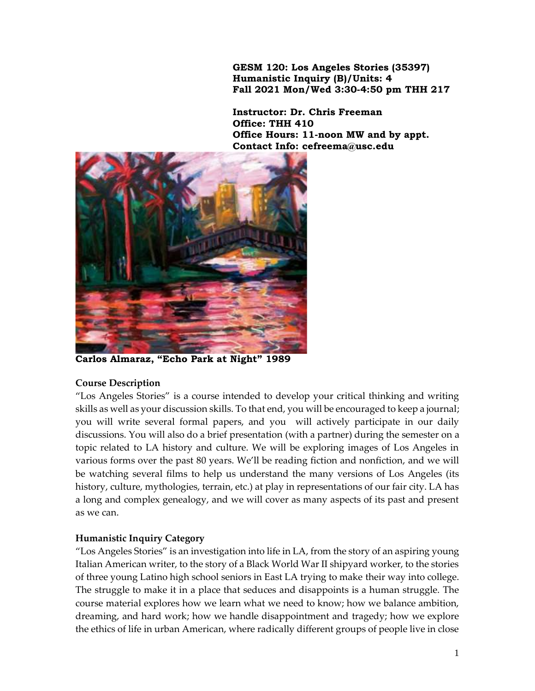**GESM 120: Los Angeles Stories (35397) Humanistic Inquiry (B)/Units: 4 Fall 2021 Mon/Wed 3:30-4:50 pm THH 217**

**Instructor: Dr. Chris Freeman Office: THH 410 Office Hours: 11-noon MW and by appt. Contact Info: cefreema@usc.edu**



**Carlos Almaraz, "Echo Park at Night" 1989**

#### **Course Description**

"Los Angeles Stories" is a course intended to develop your critical thinking and writing skills as well as your discussion skills. To that end, you will be encouraged to keep a journal; you will write several formal papers, and you will actively participate in our daily discussions. You will also do a brief presentation (with a partner) during the semester on a topic related to LA history and culture. We will be exploring images of Los Angeles in various forms over the past 80 years. We'll be reading fiction and nonfiction, and we will be watching several films to help us understand the many versions of Los Angeles (its history, culture, mythologies, terrain, etc.) at play in representations of our fair city. LA has a long and complex genealogy, and we will cover as many aspects of its past and present as we can.

# **Humanistic Inquiry Category**

"Los Angeles Stories" is an investigation into life in LA, from the story of an aspiring young Italian American writer, to the story of a Black World War II shipyard worker, to the stories of three young Latino high school seniors in East LA trying to make their way into college. The struggle to make it in a place that seduces and disappoints is a human struggle. The course material explores how we learn what we need to know; how we balance ambition, dreaming, and hard work; how we handle disappointment and tragedy; how we explore the ethics of life in urban American, where radically different groups of people live in close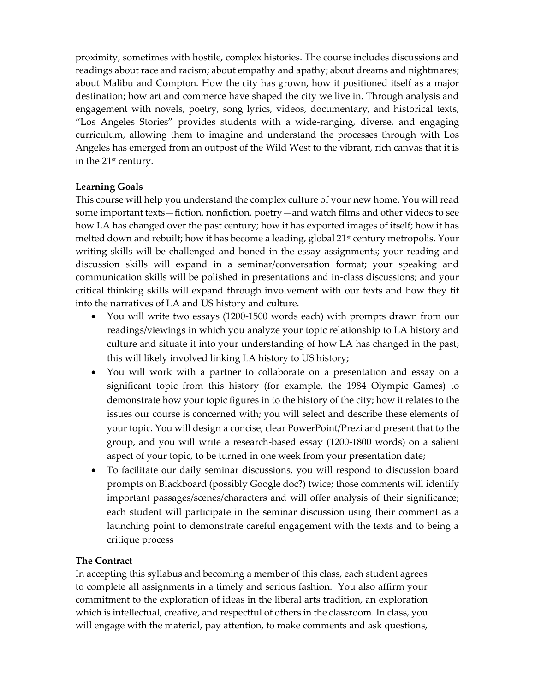proximity, sometimes with hostile, complex histories. The course includes discussions and readings about race and racism; about empathy and apathy; about dreams and nightmares; about Malibu and Compton. How the city has grown, how it positioned itself as a major destination; how art and commerce have shaped the city we live in. Through analysis and engagement with novels, poetry, song lyrics, videos, documentary, and historical texts, "Los Angeles Stories" provides students with a wide-ranging, diverse, and engaging curriculum, allowing them to imagine and understand the processes through with Los Angeles has emerged from an outpost of the Wild West to the vibrant, rich canvas that it is in the 21st century.

# **Learning Goals**

This course will help you understand the complex culture of your new home. You will read some important texts—fiction, nonfiction, poetry—and watch films and other videos to see how LA has changed over the past century; how it has exported images of itself; how it has melted down and rebuilt; how it has become a leading, global 21<sup>st</sup> century metropolis. Your writing skills will be challenged and honed in the essay assignments; your reading and discussion skills will expand in a seminar/conversation format; your speaking and communication skills will be polished in presentations and in-class discussions; and your critical thinking skills will expand through involvement with our texts and how they fit into the narratives of LA and US history and culture.

- You will write two essays (1200-1500 words each) with prompts drawn from our readings/viewings in which you analyze your topic relationship to LA history and culture and situate it into your understanding of how LA has changed in the past; this will likely involved linking LA history to US history;
- You will work with a partner to collaborate on a presentation and essay on a significant topic from this history (for example, the 1984 Olympic Games) to demonstrate how your topic figures in to the history of the city; how it relates to the issues our course is concerned with; you will select and describe these elements of your topic. You will design a concise, clear PowerPoint/Prezi and present that to the group, and you will write a research-based essay (1200-1800 words) on a salient aspect of your topic, to be turned in one week from your presentation date;
- To facilitate our daily seminar discussions, you will respond to discussion board prompts on Blackboard (possibly Google doc?) twice; those comments will identify important passages/scenes/characters and will offer analysis of their significance; each student will participate in the seminar discussion using their comment as a launching point to demonstrate careful engagement with the texts and to being a critique process

# **The Contract**

In accepting this syllabus and becoming a member of this class, each student agrees to complete all assignments in a timely and serious fashion. You also affirm your commitment to the exploration of ideas in the liberal arts tradition, an exploration which is intellectual, creative, and respectful of others in the classroom. In class, you will engage with the material, pay attention, to make comments and ask questions,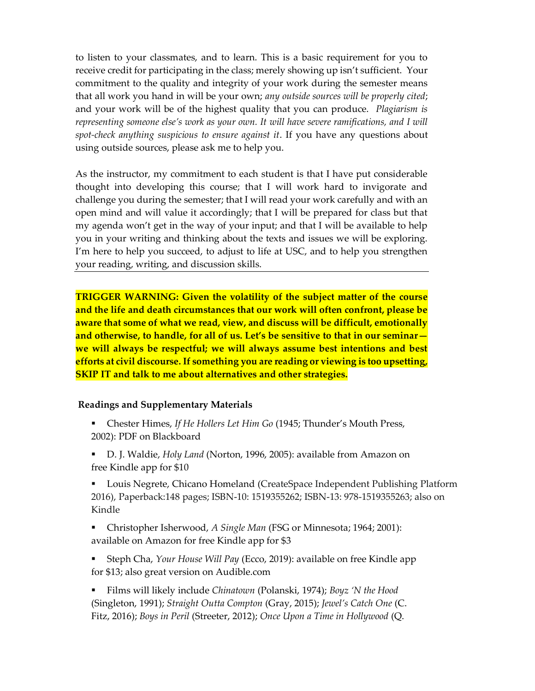to listen to your classmates, and to learn. This is a basic requirement for you to receive credit for participating in the class; merely showing up isn't sufficient. Your commitment to the quality and integrity of your work during the semester means that all work you hand in will be your own; *any outside sources will be properly cited*; and your work will be of the highest quality that you can produce. *Plagiarism is representing someone else's work as your own. It will have severe ramifications, and I will spot-check anything suspicious to ensure against it*. If you have any questions about using outside sources, please ask me to help you.

As the instructor, my commitment to each student is that I have put considerable thought into developing this course; that I will work hard to invigorate and challenge you during the semester; that I will read your work carefully and with an open mind and will value it accordingly; that I will be prepared for class but that my agenda won't get in the way of your input; and that I will be available to help you in your writing and thinking about the texts and issues we will be exploring. I'm here to help you succeed, to adjust to life at USC, and to help you strengthen your reading, writing, and discussion skills.

**TRIGGER WARNING: Given the volatility of the subject matter of the course and the life and death circumstances that our work will often confront, please be aware that some of what we read, view, and discuss will be difficult, emotionally and otherwise, to handle, for all of us. Let's be sensitive to that in our seminar we will always be respectful; we will always assume best intentions and best efforts at civil discourse. If something you are reading or viewing is too upsetting, SKIP IT and talk to me about alternatives and other strategies.**

#### **Readings and Supplementary Materials**

- Chester Himes, *If He Hollers Let Him Go* (1945; Thunder's Mouth Press, 2002): PDF on Blackboard
- D. J. Waldie, *Holy Land* (Norton, 1996, 2005): available from Amazon on free Kindle app for \$10
- Louis Negrete, Chicano Homeland (CreateSpace Independent Publishing Platform 2016), Paperback:148 pages; ISBN-10: 1519355262; ISBN-13: 978-1519355263; also on Kindle
- Christopher Isherwood, *A Single Man* (FSG or Minnesota; 1964; 2001): available on Amazon for free Kindle app for \$3
- Steph Cha, *Your House Will Pay* (Ecco, 2019): available on free Kindle app for \$13; also great version on Audible.com

▪ Films will likely include *Chinatown* (Polanski, 1974); *Boyz 'N the Hood*  (Singleton, 1991); *Straight Outta Compton* (Gray, 2015); *Jewel's Catch One* (C. Fitz, 2016); *Boys in Peril* (Streeter, 2012); *Once Upon a Time in Hollywood* (Q.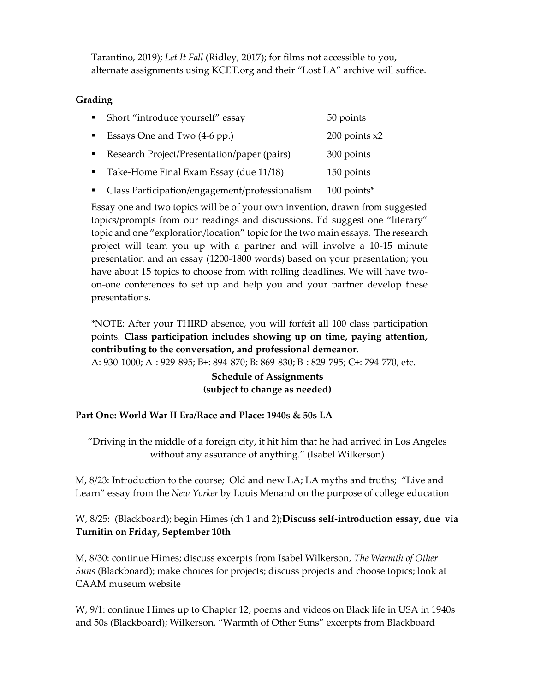Tarantino, 2019); *Let It Fall* (Ridley, 2017); for films not accessible to you, alternate assignments using KCET.org and their "Lost LA" archive will suffice.

# **Grading**

|                | Short "introduce yourself" essay               | 50 points         |
|----------------|------------------------------------------------|-------------------|
| $\blacksquare$ | Essays One and Two (4-6 pp.)                   | $200$ points $x2$ |
|                | Research Project/Presentation/paper (pairs)    | 300 points        |
|                | Take-Home Final Exam Essay (due 11/18)         | 150 points        |
|                | Class Participation/engagement/professionalism | $100$ points*     |

Essay one and two topics will be of your own invention, drawn from suggested topics/prompts from our readings and discussions. I'd suggest one "literary" topic and one "exploration/location" topic for the two main essays. The research project will team you up with a partner and will involve a 10-15 minute presentation and an essay (1200-1800 words) based on your presentation; you have about 15 topics to choose from with rolling deadlines. We will have twoon-one conferences to set up and help you and your partner develop these presentations.

\*NOTE: After your THIRD absence, you will forfeit all 100 class participation points. **Class participation includes showing up on time, paying attention, contributing to the conversation, and professional demeanor.**  A: 930-1000; A-: 929-895; B+: 894-870; B: 869-830; B-: 829-795; C+: 794-770, etc.

> **Schedule of Assignments (subject to change as needed)**

# **Part One: World War II Era/Race and Place: 1940s & 50s LA**

"Driving in the middle of a foreign city, it hit him that he had arrived in Los Angeles without any assurance of anything." (Isabel Wilkerson)

M, 8/23: Introduction to the course; Old and new LA; LA myths and truths; "Live and Learn" essay from the *New Yorker* by Louis Menand on the purpose of college education

W, 8/25: (Blackboard); begin Himes (ch 1 and 2);**Discuss self-introduction essay, due via Turnitin on Friday, September 10th**

M, 8/30: continue Himes; discuss excerpts from Isabel Wilkerson, *The Warmth of Other Suns* (Blackboard); make choices for projects; discuss projects and choose topics; look at CAAM museum website

W, 9/1: continue Himes up to Chapter 12; poems and videos on Black life in USA in 1940s and 50s (Blackboard); Wilkerson, "Warmth of Other Suns" excerpts from Blackboard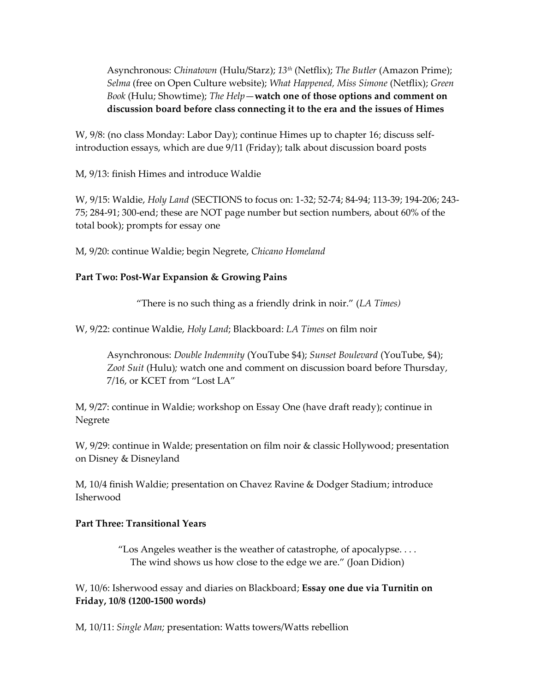Asynchronous: *Chinatown* (Hulu/Starz); *13th* (Netflix); *The Butler* (Amazon Prime); *Selma* (free on Open Culture website); *What Happened, Miss Simone* (Netflix); *Green Book* (Hulu; Showtime); *The Help*—**watch one of those options and comment on discussion board before class connecting it to the era and the issues of Himes**

W, 9/8: (no class Monday: Labor Day); continue Himes up to chapter 16; discuss selfintroduction essays, which are due 9/11 (Friday); talk about discussion board posts

M, 9/13: finish Himes and introduce Waldie

W, 9/15: Waldie, *Holy Land* (SECTIONS to focus on: 1-32; 52-74; 84-94; 113-39; 194-206; 243- 75; 284-91; 300-end; these are NOT page number but section numbers, about 60% of the total book); prompts for essay one

M, 9/20: continue Waldie; begin Negrete, *Chicano Homeland*

### **Part Two: Post-War Expansion & Growing Pains**

"There is no such thing as a friendly drink in noir." (*LA Times)*

W, 9/22: continue Waldie, *Holy Land*; Blackboard: *LA Times* on film noir

Asynchronous: *Double Indemnity* (YouTube \$4); *Sunset Boulevard* (YouTube, \$4); *Zoot Suit* (Hulu)*;* watch one and comment on discussion board before Thursday, 7/16, or KCET from "Lost LA"

M, 9/27: continue in Waldie; workshop on Essay One (have draft ready); continue in Negrete

W, 9/29: continue in Walde; presentation on film noir & classic Hollywood; presentation on Disney & Disneyland

M, 10/4 finish Waldie; presentation on Chavez Ravine & Dodger Stadium; introduce Isherwood

#### **Part Three: Transitional Years**

"Los Angeles weather is the weather of catastrophe, of apocalypse. . . . The wind shows us how close to the edge we are." (Joan Didion)

W, 10/6: Isherwood essay and diaries on Blackboard; **Essay one due via Turnitin on Friday, 10/8 (1200-1500 words)**

M, 10/11: *Single Man;* presentation: Watts towers/Watts rebellion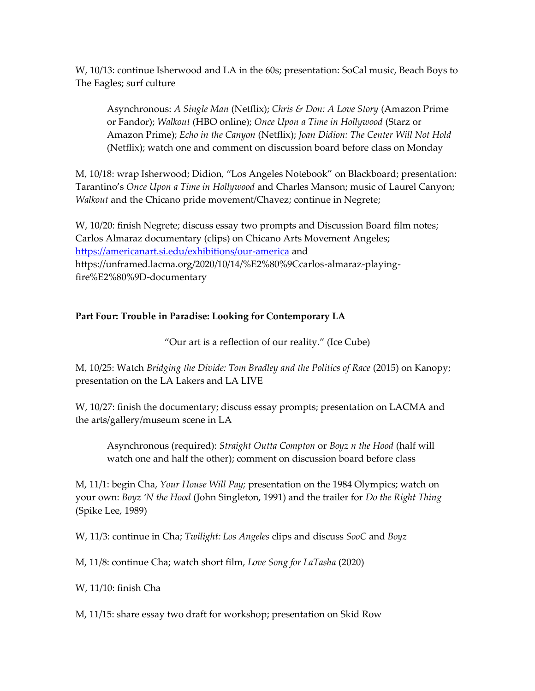W, 10/13: continue Isherwood and LA in the 60s; presentation: SoCal music, Beach Boys to The Eagles; surf culture

Asynchronous: *A Single Man* (Netflix); *Chris & Don: A Love Story* (Amazon Prime or Fandor); *Walkout* (HBO online); *Once Upon a Time in Hollywood* (Starz or Amazon Prime); *Echo in the Canyon* (Netflix); *Joan Didion: The Center Will Not Hold* (Netflix); watch one and comment on discussion board before class on Monday

M, 10/18: wrap Isherwood; Didion, "Los Angeles Notebook" on Blackboard; presentation: Tarantino's *Once Upon a Time in Hollywood* and Charles Manson; music of Laurel Canyon; *Walkout* and the Chicano pride movement/Chavez; continue in Negrete;

W, 10/20: finish Negrete; discuss essay two prompts and Discussion Board film notes; Carlos Almaraz documentary (clips) on Chicano Arts Movement Angeles; <https://americanart.si.edu/exhibitions/our-america> and https://unframed.lacma.org/2020/10/14/%E2%80%9Ccarlos-almaraz-playingfire%E2%80%9D-documentary

### **Part Four: Trouble in Paradise: Looking for Contemporary LA**

"Our art is a reflection of our reality." (Ice Cube)

M, 10/25: Watch *Bridging the Divide: Tom Bradley and the Politics of Race* (2015) on Kanopy; presentation on the LA Lakers and LA LIVE

W, 10/27: finish the documentary; discuss essay prompts; presentation on LACMA and the arts/gallery/museum scene in LA

Asynchronous (required): *Straight Outta Compton* or *Boyz n the Hood* (half will watch one and half the other); comment on discussion board before class

M, 11/1: begin Cha, *Your House Will Pay;* presentation on the 1984 Olympics; watch on your own: *Boyz 'N the Hood* (John Singleton, 1991) and the trailer for *Do the Right Thing* (Spike Lee, 1989)

W, 11/3: continue in Cha; *Twilight: Los Angeles* clips and discuss *SooC* and *Boyz* 

M, 11/8: continue Cha; watch short film, *Love Song for LaTasha* (2020)

W, 11/10: finish Cha

M, 11/15: share essay two draft for workshop; presentation on Skid Row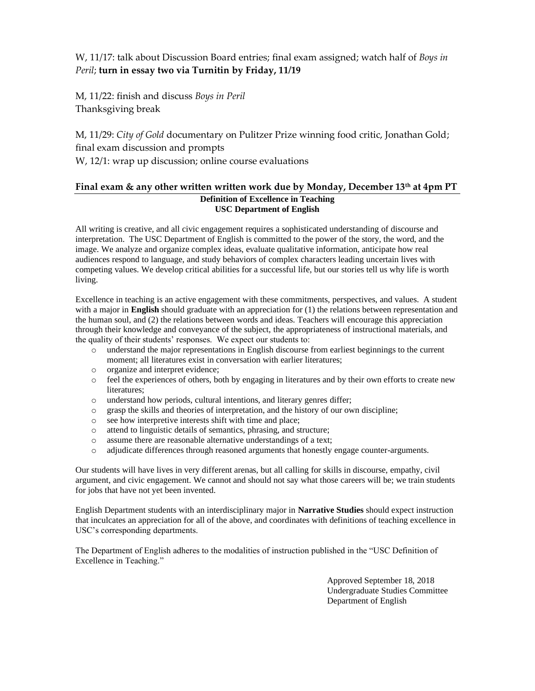# W, 11/17: talk about Discussion Board entries; final exam assigned; watch half of *Boys in Peril*; **turn in essay two via Turnitin by Friday, 11/19**

M, 11/22: finish and discuss *Boys in Peril* Thanksgiving break

M, 11/29: *City of Gold* documentary on Pulitzer Prize winning food critic, Jonathan Gold; final exam discussion and prompts W, 12/1: wrap up discussion; online course evaluations

#### **Final exam & any other written written work due by Monday, December 13th at 4pm PT Definition of Excellence in Teaching USC Department of English**

All writing is creative, and all civic engagement requires a sophisticated understanding of discourse and interpretation. The USC Department of English is committed to the power of the story, the word, and the image. We analyze and organize complex ideas, evaluate qualitative information, anticipate how real audiences respond to language, and study behaviors of complex characters leading uncertain lives with competing values. We develop critical abilities for a successful life, but our stories tell us why life is worth living.

Excellence in teaching is an active engagement with these commitments, perspectives, and values. A student with a major in **English** should graduate with an appreciation for (1) the relations between representation and the human soul, and (2) the relations between words and ideas. Teachers will encourage this appreciation through their knowledge and conveyance of the subject, the appropriateness of instructional materials, and the quality of their students' responses. We expect our students to:

- o understand the major representations in English discourse from earliest beginnings to the current moment; all literatures exist in conversation with earlier literatures;
- o organize and interpret evidence;
- o feel the experiences of others, both by engaging in literatures and by their own efforts to create new literatures;
- o understand how periods, cultural intentions, and literary genres differ;
- o grasp the skills and theories of interpretation, and the history of our own discipline;
- o see how interpretive interests shift with time and place;
- o attend to linguistic details of semantics, phrasing, and structure;
- o assume there are reasonable alternative understandings of a text;
- o adjudicate differences through reasoned arguments that honestly engage counter-arguments.

Our students will have lives in very different arenas, but all calling for skills in discourse, empathy, civil argument, and civic engagement. We cannot and should not say what those careers will be; we train students for jobs that have not yet been invented.

English Department students with an interdisciplinary major in **Narrative Studies** should expect instruction that inculcates an appreciation for all of the above, and coordinates with definitions of teaching excellence in USC's corresponding departments.

The Department of English adheres to the modalities of instruction published in the "USC Definition of Excellence in Teaching."

> Approved September 18, 2018 Undergraduate Studies Committee Department of English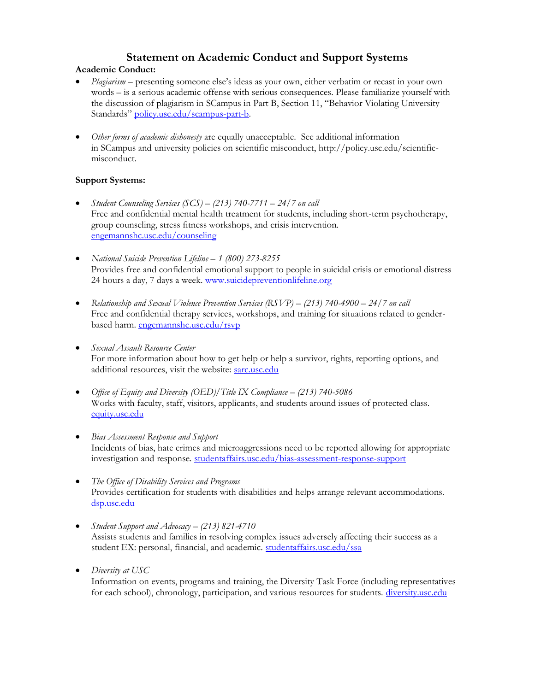# **Statement on Academic Conduct and Support Systems**

### **Academic Conduct:**

- *Plagiarism* presenting someone else's ideas as your own, either verbatim or recast in your own words – is a serious academic offense with serious consequences. Please familiarize yourself with the discussion of plagiarism in SCampus in Part B, Section 11, "Behavior Violating University Standards" [policy.usc.edu/scampus-part-b.](https://policy.usc.edu/scampus-part-b/)
- *Other forms of academic dishonesty* are equally unacceptable. See additional information in SCampus and university policies on scientific misconduct, http://policy.usc.edu/scientificmisconduct.

#### **Support Systems:**

- *Student Counseling Services (SCS) – (213) 740-7711 – 24/7 on call* Free and confidential mental health treatment for students, including short-term psychotherapy, group counseling, stress fitness workshops, and crisis intervention. [engemannshc.usc.edu/counseling](https://engemannshc.usc.edu/counseling)
- *National Suicide Prevention Lifeline – 1 (800) 273-8255* Provides free and confidential emotional support to people in suicidal crisis or emotional distress 24 hours a day, 7 days a week. [www.suicidepreventionlifeline.org](http://www.suicidepreventionlifeline.org/)
- **Relationship and Sexual Violence Prevention Services (RSVP) (213) 740-4900 24/7 on call** Free and confidential therapy services, workshops, and training for situations related to genderbased harm. [engemannshc.usc.edu/rsvp](https://engemannshc.usc.edu/rsvp/)
- *Sexual Assault Resource Center* For more information about how to get help or help a survivor, rights, reporting options, and additional resources, visit the website: [sarc.usc.edu](http://sarc.usc.edu/)
- *Office of Equity and Diversity (OED)/Title IX Compliance (213) 740-5086* Works with faculty, staff, visitors, applicants, and students around issues of protected class. [equity.usc.edu](http://equity.usc.edu/)
- *Bias Assessment Response and Support* Incidents of bias, hate crimes and microaggressions need to be reported allowing for appropriate investigation and response. [studentaffairs.usc.edu/bias-assessment-response-support](https://studentaffairs.usc.edu/bias-assessment-response-support/)
- *The Office of Disability Services and Programs* Provides certification for students with disabilities and helps arrange relevant accommodations. [dsp.usc.edu](http://dsp.usc.edu/)
- *Student Support and Advocacy – (213) 821-4710* Assists students and families in resolving complex issues adversely affecting their success as a student EX: personal, financial, and academic. [studentaffairs.usc.edu/ssa](https://studentaffairs.usc.edu/ssa/)
- *Diversity at USC*

Information on events, programs and training, the Diversity Task Force (including representatives for each school), chronology, participation, and various resources for students. [diversity.usc.edu](https://diversity.usc.edu/)